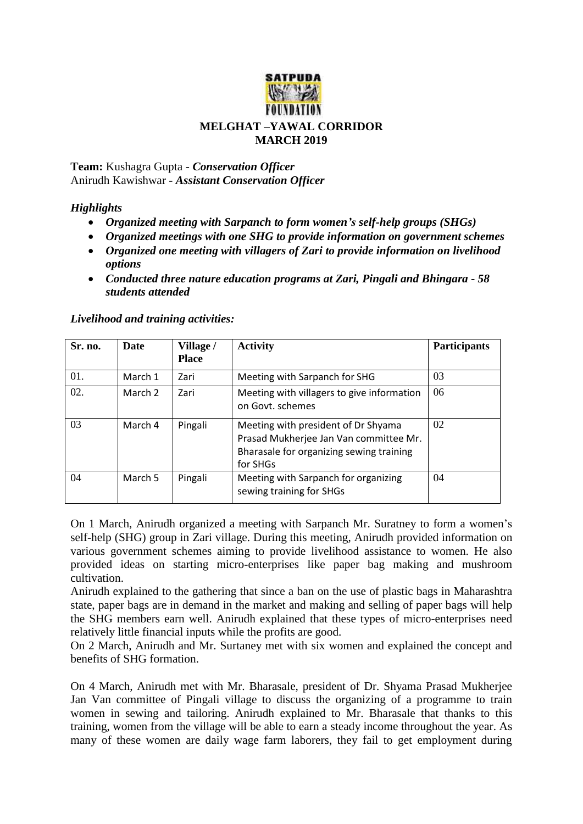

**Team:** Kushagra Gupta - *Conservation Officer* Anirudh Kawishwar - *Assistant Conservation Officer*

## *Highlights*

- *Organized meeting with Sarpanch to form women's self-help groups (SHGs)*
- *Organized meetings with one SHG to provide information on government schemes*
- *Organized one meeting with villagers of Zari to provide information on livelihood options*
- *Conducted three nature education programs at Zari, Pingali and Bhingara - 58 students attended*

| Sr. no. | Date    | Village /<br><b>Place</b> | <b>Activity</b>                                                                                                                       | <b>Participants</b> |
|---------|---------|---------------------------|---------------------------------------------------------------------------------------------------------------------------------------|---------------------|
| 01.     | March 1 | Zari                      | Meeting with Sarpanch for SHG                                                                                                         | 03                  |
| 02.     | March 2 | Zari                      | Meeting with villagers to give information<br>on Govt, schemes                                                                        | 06                  |
| 03      | March 4 | Pingali                   | Meeting with president of Dr Shyama<br>Prasad Mukherjee Jan Van committee Mr.<br>Bharasale for organizing sewing training<br>for SHGs | 02                  |
| 04      | March 5 | Pingali                   | Meeting with Sarpanch for organizing<br>sewing training for SHGs                                                                      | 04                  |

## *Livelihood and training activities:*

On 1 March, Anirudh organized a meeting with Sarpanch Mr. Suratney to form a women's self-help (SHG) group in Zari village. During this meeting, Anirudh provided information on various government schemes aiming to provide livelihood assistance to women. He also provided ideas on starting micro-enterprises like paper bag making and mushroom cultivation.

Anirudh explained to the gathering that since a ban on the use of plastic bags in Maharashtra state, paper bags are in demand in the market and making and selling of paper bags will help the SHG members earn well. Anirudh explained that these types of micro-enterprises need relatively little financial inputs while the profits are good.

On 2 March, Anirudh and Mr. Surtaney met with six women and explained the concept and benefits of SHG formation.

On 4 March, Anirudh met with Mr. Bharasale, president of Dr. Shyama Prasad Mukherjee Jan Van committee of Pingali village to discuss the organizing of a programme to train women in sewing and tailoring. Anirudh explained to Mr. Bharasale that thanks to this training, women from the village will be able to earn a steady income throughout the year. As many of these women are daily wage farm laborers, they fail to get employment during